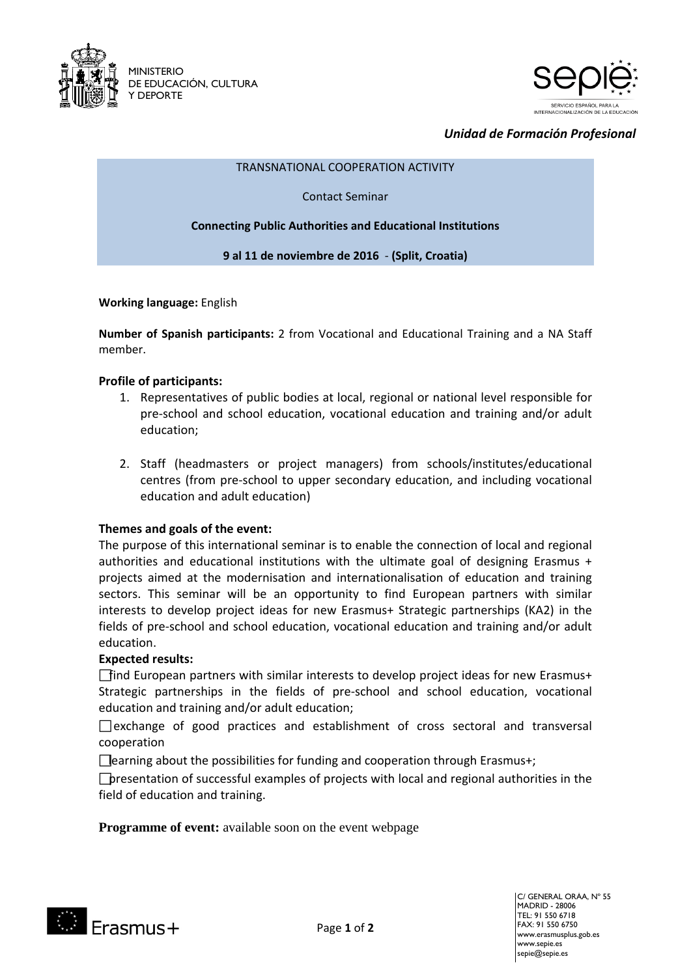



# *Unidad de Formación Profesional*

#### TRANSNATIONAL COOPERATION ACTIVITY

Contact Seminar

**Connecting Public Authorities and Educational Institutions** 

**9 al 11 de noviembre de 2016** - **(Split, Croatia)**

**Working language:** English

**Number of Spanish participants:** 2 from Vocational and Educational Training and a NA Staff member.

### **Profile of participants:**

- 1. Representatives of public bodies at local, regional or national level responsible for pre-school and school education, vocational education and training and/or adult education;
- 2. Staff (headmasters or project managers) from schools/institutes/educational centres (from pre-school to upper secondary education, and including vocational education and adult education)

### **Themes and goals of the event:**

The purpose of this international seminar is to enable the connection of local and regional authorities and educational institutions with the ultimate goal of designing Erasmus + projects aimed at the modernisation and internationalisation of education and training sectors. This seminar will be an opportunity to find European partners with similar interests to develop project ideas for new Erasmus+ Strategic partnerships (KA2) in the fields of pre-school and school education, vocational education and training and/or adult education.

## **Expected results:**

find European partners with similar interests to develop project ideas for new Erasmus+ Strategic partnerships in the fields of pre-school and school education, vocational education and training and/or adult education;

 $\Box$  exchange of good practices and establishment of cross sectoral and transversal cooperation

 $\Box$  earning about the possibilities for funding and cooperation through Erasmus+;

presentation of successful examples of projects with local and regional authorities in the field of education and training.

**Programme of event:** available soon on the event webpage